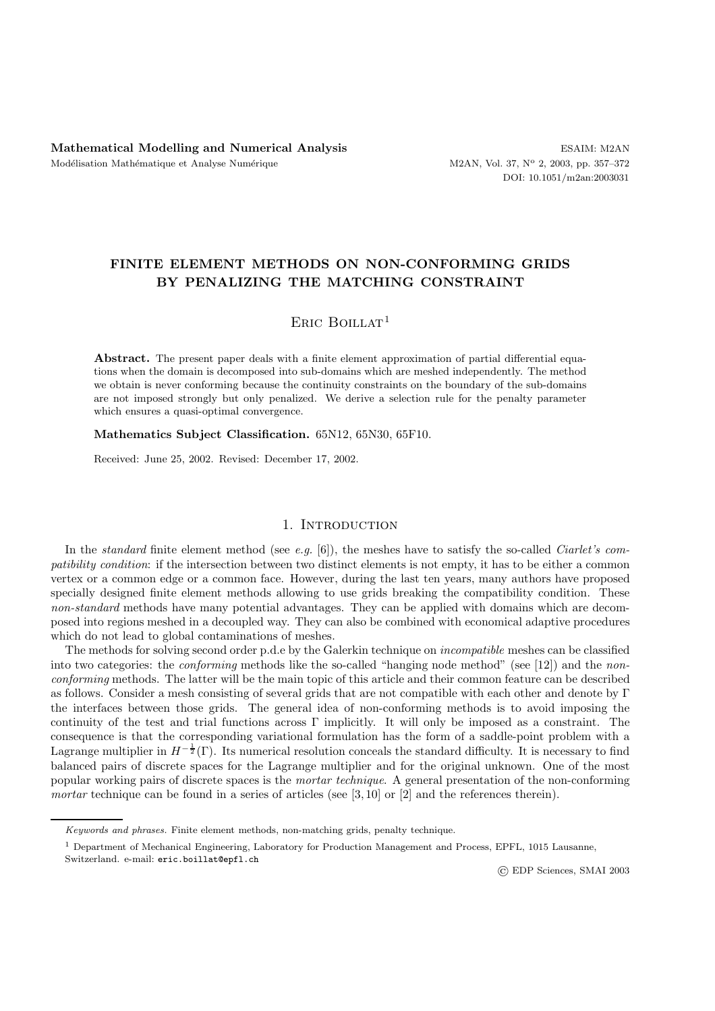# **FINITE ELEMENT METHODS ON NON-CONFORMING GRIDS BY PENALIZING THE MATCHING CONSTRAINT**

# ERIC BOILLAT<sup>1</sup>

Abstract. The present paper deals with a finite element approximation of partial differential equations when the domain is decomposed into sub-domains which are meshed independently. The method we obtain is never conforming because the continuity constraints on the boundary of the sub-domains are not imposed strongly but only penalized. We derive a selection rule for the penalty parameter which ensures a quasi-optimal convergence.

**Mathematics Subject Classification.** 65N12, 65N30, 65F10.

Received: June 25, 2002. Revised: December 17, 2002.

## 1. INTRODUCTION

In the *standard* finite element method (see *e.g.* [6]), the meshes have to satisfy the so-called *Ciarlet's compatibility condition*: if the intersection between two distinct elements is not empty, it has to be either a common vertex or a common edge or a common face. However, during the last ten years, many authors have proposed specially designed finite element methods allowing to use grids breaking the compatibility condition. These *non-standard* methods have many potential advantages. They can be applied with domains which are decomposed into regions meshed in a decoupled way. They can also be combined with economical adaptive procedures which do not lead to global contaminations of meshes.

The methods for solving second order p.d.e by the Galerkin technique on *incompatible* meshes can be classified into two categories: the *conforming* methods like the so-called "hanging node method" (see [12]) and the *nonconforming* methods. The latter will be the main topic of this article and their common feature can be described as follows. Consider a mesh consisting of several grids that are not compatible with each other and denote by Γ the interfaces between those grids. The general idea of non-conforming methods is to avoid imposing the continuity of the test and trial functions across Γ implicitly. It will only be imposed as a constraint. The consequence is that the corresponding variational formulation has the form of a saddle-point problem with a Lagrange multiplier in  $H^{-\frac{1}{2}}(\Gamma)$ . Its numerical resolution conceals the standard difficulty. It is necessary to find balanced pairs of discrete spaces for the Lagrange multiplier and for the original unknown. One of the most popular working pairs of discrete spaces is the *mortar technique*. A general presentation of the non-conforming *mortar* technique can be found in a series of articles (see [3, 10] or [2] and the references therein).

Switzerland. e-mail: eric.boillat@epfl.ch

© EDP Sciences, SMAI 2003

Keywords and phrases. Finite element methods, non-matching grids, penalty technique.

<sup>1</sup> Department of Mechanical Engineering, Laboratory for Production Management and Process, EPFL, 1015 Lausanne,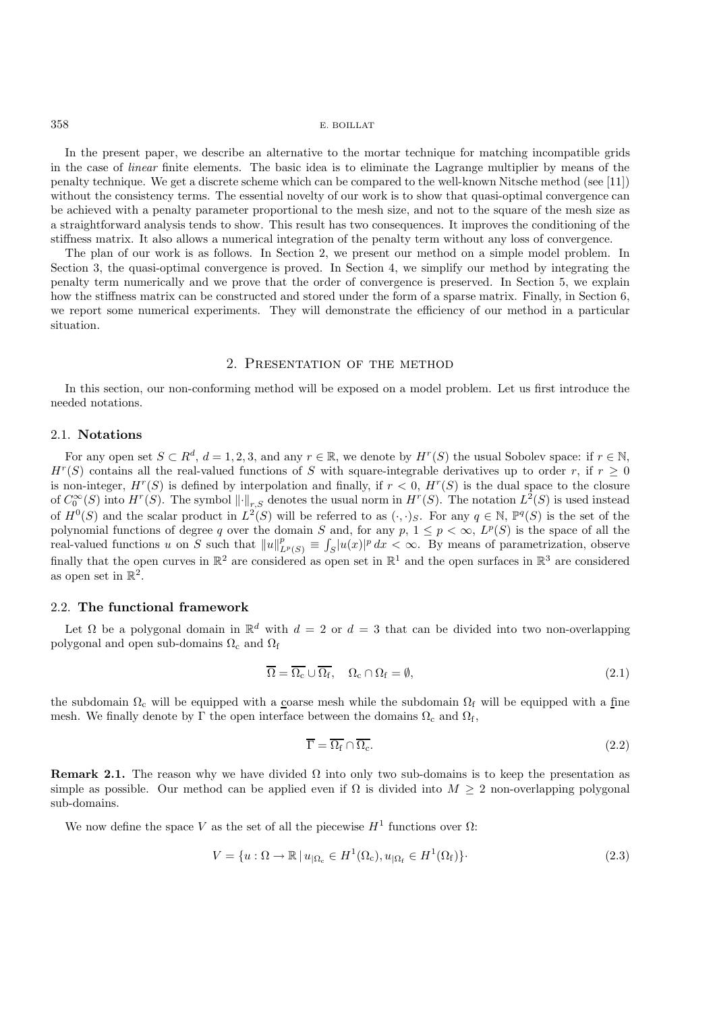In the present paper, we describe an alternative to the mortar technique for matching incompatible grids in the case of *linear* finite elements. The basic idea is to eliminate the Lagrange multiplier by means of the penalty technique. We get a discrete scheme which can be compared to the well-known Nitsche method (see [11]) without the consistency terms. The essential novelty of our work is to show that quasi-optimal convergence can be achieved with a penalty parameter proportional to the mesh size, and not to the square of the mesh size as a straightforward analysis tends to show. This result has two consequences. It improves the conditioning of the stiffness matrix. It also allows a numerical integration of the penalty term without any loss of convergence.

The plan of our work is as follows. In Section 2, we present our method on a simple model problem. In Section 3, the quasi-optimal convergence is proved. In Section 4, we simplify our method by integrating the penalty term numerically and we prove that the order of convergence is preserved. In Section 5, we explain how the stiffness matrix can be constructed and stored under the form of a sparse matrix. Finally, in Section 6, we report some numerical experiments. They will demonstrate the efficiency of our method in a particular situation.

## 2. Presentation of the method

In this section, our non-conforming method will be exposed on a model problem. Let us first introduce the needed notations.

#### 2.1. **Notations**

For any open set  $S \subset R^d$ ,  $d = 1, 2, 3$ , and any  $r \in \mathbb{R}$ , we denote by  $H^r(S)$  the usual Sobolev space: if  $r \in \mathbb{N}$ .  $H^r(S)$  contains all the real-valued functions of S with square-integrable derivatives up to order r, if  $r > 0$ is non-integer,  $H^r(S)$  is defined by interpolation and finally, if  $r < 0$ ,  $H^r(S)$  is the dual space to the closure of  $C_0^{\infty}(S)$  into  $H^r(S)$ . The symbol  $\lVert \cdot \rVert_{r,S}$  denotes the usual norm in  $H^r(S)$ . The notation  $L^2(S)$  is used instead of  $H^0(S)$  and the scalar product in  $L^2(S)$  will be referred to as  $(\cdot, \cdot)_S$ . For any  $q \in \mathbb{N}$ ,  $\mathbb{P}^q(S)$  is the set of the polynomial functions of degree q over the domain S and, for any  $p, 1 \leq p < \infty$ ,  $L^p(S)$  is the space of all the real-valued functions u on S such that  $||u||_{L^p(S)}^p \equiv \int_S |u(x)|^p dx < \infty$ . By means of parametrization, observe finally that the open curves in  $\mathbb{R}^2$  are considered as open set in  $\mathbb{R}^1$  and the open surfaces in  $\mathbb{R}^3$  are considered as open set in  $\mathbb{R}^2$ .

## 2.2. **The functional framework**

Let  $\Omega$  be a polygonal domain in  $\mathbb{R}^d$  with  $d = 2$  or  $d = 3$  that can be divided into two non-overlapping polygonal and open sub-domains  $\Omega_c$  and  $\Omega_f$ 

$$
\overline{\Omega} = \overline{\Omega_{\rm c}} \cup \overline{\Omega_{\rm f}}, \quad \Omega_{\rm c} \cap \Omega_{\rm f} = \emptyset, \tag{2.1}
$$

the subdomain  $\Omega_c$  will be equipped with a coarse mesh while the subdomain  $\Omega_f$  will be equipped with a fine mesh. We finally denote by  $\Gamma$  the open interface between the domains  $\Omega_c$  and  $\Omega_f$ ,

$$
\overline{\Gamma} = \overline{\Omega_{\rm f}} \cap \overline{\Omega_{\rm c}}.\tag{2.2}
$$

**Remark 2.1.** The reason why we have divided  $\Omega$  into only two sub-domains is to keep the presentation as simple as possible. Our method can be applied even if  $\Omega$  is divided into  $M \geq 2$  non-overlapping polygonal sub-domains.

We now define the space V as the set of all the piecewise  $H^1$  functions over  $\Omega$ :

$$
V = \{u : \Omega \to \mathbb{R} \mid u_{|\Omega_c} \in H^1(\Omega_c), u_{|\Omega_f} \in H^1(\Omega_f)\}.
$$
\n(2.3)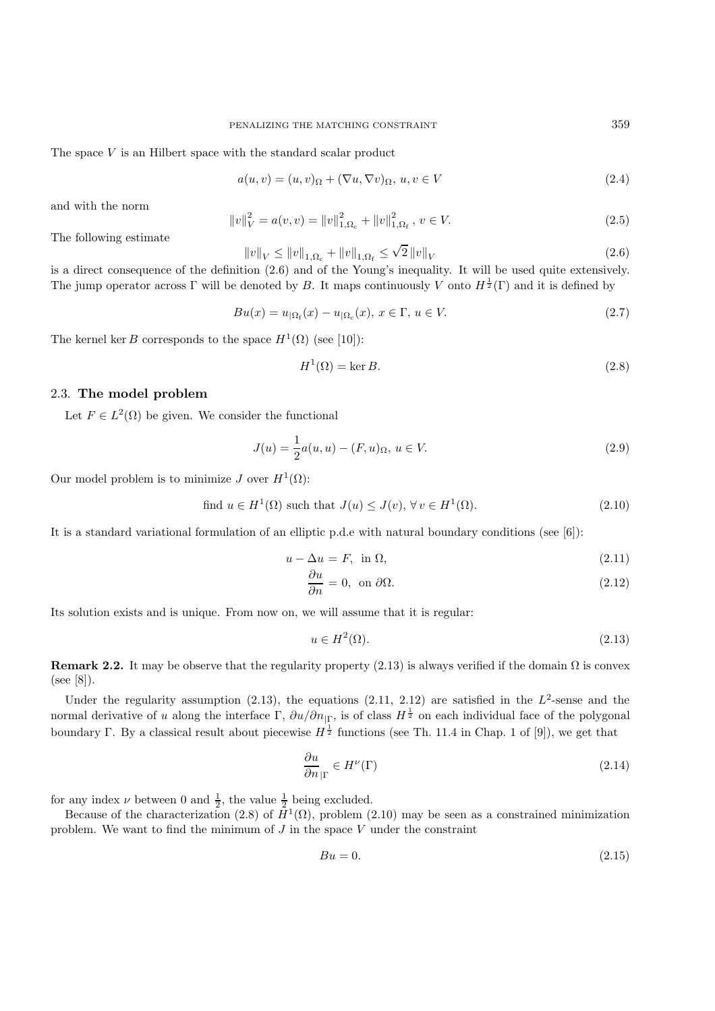The space  $V$  is an Hilbert space with the standard scalar product

$$
a(u, v) = (u, v)_{\Omega} + (\nabla u, \nabla v)_{\Omega}, u, v \in V
$$
\n(2.4)

and with the norm

$$
||v||_V^2 = a(v, v) = ||v||_{1, \Omega_c}^2 + ||v||_{1, \Omega_f}^2, v \in V.
$$
\n(2.5)

The following estimate

$$
||v||_{V} \le ||v||_{1,\Omega_c} + ||v||_{1,\Omega_f} \le \sqrt{2} ||v||_{V}
$$
\n(2.6)

is a direct consequence of the definition (2.6) and of the Young's inequality. It will be used quite extensively. The jump operator across  $\Gamma$  will be denoted by B. It maps continuously V onto  $H^{\frac{1}{2}}(\Gamma)$  and it is defined by

$$
Bu(x) = u_{|\Omega_{\rm f}}(x) - u_{|\Omega_{\rm c}}(x), \ x \in \Gamma, \ u \in V. \tag{2.7}
$$

The kernel ker B corresponds to the space  $H^1(\Omega)$  (see [10]):

$$
H^{1}(\Omega) = \ker B. \tag{2.8}
$$

## 2.3. **The model problem**

Let  $F \in L^2(\Omega)$  be given. We consider the functional

$$
J(u) = \frac{1}{2}a(u, u) - (F, u)_{\Omega}, u \in V.
$$
 (2.9)

Our model problem is to minimize J over  $H^1(\Omega)$ :

find 
$$
u \in H^1(\Omega)
$$
 such that  $J(u) \leq J(v)$ ,  $\forall v \in H^1(\Omega)$ . 
$$
(2.10)
$$

It is a standard variational formulation of an elliptic p.d.e with natural boundary conditions (see [6]):

$$
u - \Delta u = F, \text{ in } \Omega,
$$
\n
$$
(2.11)
$$

$$
\frac{\partial u}{\partial n} = 0, \text{ on } \partial \Omega. \tag{2.12}
$$

Its solution exists and is unique. From now on, we will assume that it is regular:

$$
u \in H^2(\Omega). \tag{2.13}
$$

**Remark 2.2.** It may be observe that the regularity property (2.13) is always verified if the domain  $\Omega$  is convex (see [8]).

Under the regularity assumption (2.13), the equations (2.11, 2.12) are satisfied in the  $L^2$ -sense and the normal derivative of u along the interface  $\Gamma$ ,  $\partial u/\partial n_{|\Gamma}$ , is of class  $H^{\frac{1}{2}}$  on each individual face of the polygonal boundary Γ. By a classical result about piecewise  $H^{\frac{1}{2}}$  functions (see Th. 11.4 in Chap. 1 of [9]), we get that

$$
\frac{\partial u}{\partial n_{|\Gamma}} \in H^{\nu}(\Gamma) \tag{2.14}
$$

for any index  $\nu$  between 0 and  $\frac{1}{2}$ , the value  $\frac{1}{2}$  being excluded.

Because of the characterization (2.8) of  $H^1(\Omega)$ , problem (2.10) may be seen as a constrained minimization problem. We want to find the minimum of  $J$  in the space  $V$  under the constraint

$$
Bu = 0.\t\t(2.15)
$$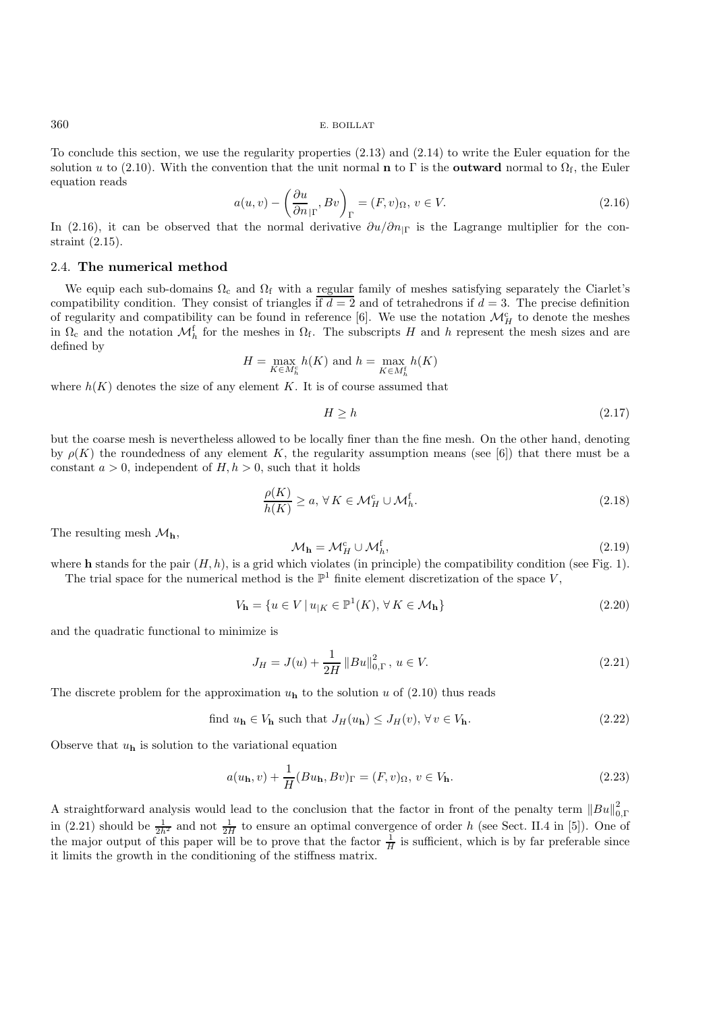To conclude this section, we use the regularity properties (2.13) and (2.14) to write the Euler equation for the solution u to (2.10). With the convention that the unit normal **n** to Γ is the **outward** normal to  $\Omega_f$ , the Euler equation reads

$$
a(u,v) - \left(\frac{\partial u}{\partial n}_{|\Gamma}, Bv\right)_{\Gamma} = (F, v)_{\Omega}, v \in V.
$$
\n(2.16)

In (2.16), it can be observed that the normal derivative  $\partial u/\partial n_{\text{I}}$  is the Lagrange multiplier for the constraint (2.15).

#### 2.4. **The numerical method**

We equip each sub-domains  $\Omega_c$  and  $\Omega_f$  with a regular family of meshes satisfying separately the Ciarlet's compatibility condition. They consist of triangles if  $d = 2$  and of tetrahedrons if  $d = 3$ . The precise definition of regularity and compatibility can be found in reference [6]. We use the notation  $\mathcal{M}_{H}^{c}$  to denote the meshes in  $\Omega_c$  and the notation  $\mathcal{M}_h^f$  for the meshes in  $\Omega_f$ . The subscripts H and h represent the mesh sizes and are defined by

$$
H = \max_{K \in M_h^c} h(K)
$$
 and  $h = \max_{K \in M_h^f} h(K)$ 

where  $h(K)$  denotes the size of any element K. It is of course assumed that

$$
H \ge h \tag{2.17}
$$

but the coarse mesh is nevertheless allowed to be locally finer than the fine mesh. On the other hand, denoting by  $\rho(K)$  the roundedness of any element K, the regularity assumption means (see [6]) that there must be a constant  $a > 0$ , independent of  $H, h > 0$ , such that it holds

$$
\frac{\rho(K)}{h(K)} \ge a, \forall K \in \mathcal{M}_H^c \cup \mathcal{M}_h^f. \tag{2.18}
$$

The resulting mesh  $\mathcal{M}_{h}$ ,

$$
\mathcal{M}_{\mathbf{h}} = \mathcal{M}_H^{\text{c}} \cup \mathcal{M}_h^{\text{f}},\tag{2.19}
$$

where **h** stands for the pair  $(H, h)$ , is a grid which violates (in principle) the compatibility condition (see Fig. 1). The trial space for the numerical method is the  $\mathbb{P}^1$  finite element discretization of the space V,

$$
V_{\mathbf{h}} = \{ u \in V \mid u_{|K} \in \mathbb{P}^1(K), \forall K \in \mathcal{M}_{\mathbf{h}} \} \tag{2.20}
$$

and the quadratic functional to minimize is

$$
J_H = J(u) + \frac{1}{2H} ||Bu||_{0,\Gamma}^2, \ u \in V.
$$
\n(2.21)

The discrete problem for the approximation  $u<sub>h</sub>$  to the solution u of (2.10) thus reads

find 
$$
u_{\mathbf{h}} \in V_{\mathbf{h}}
$$
 such that  $J_H(u_{\mathbf{h}}) \leq J_H(v), \forall v \in V_{\mathbf{h}}$ . 
$$
(2.22)
$$

Observe that  $u_{\mathbf{h}}$  is solution to the variational equation

$$
a(u_{\mathbf{h}}, v) + \frac{1}{H}(Bu_{\mathbf{h}}, Bv)_{\Gamma} = (F, v)_{\Omega}, v \in V_{\mathbf{h}}.
$$
\n(2.23)

A straightforward analysis would lead to the conclusion that the factor in front of the penalty term  $||Bu||_{0,\Gamma}^2$ in (2.21) should be  $\frac{1}{2h^2}$  and not  $\frac{1}{2H}$  to ensure an optimal convergence of order h (see Sect. II.4 in [5]). One of the major output of this paper will be to prove that the factor  $\frac{1}{H}$  is sufficient, which is by far preferable since it limits the growth in the conditioning of the stiffness matrix.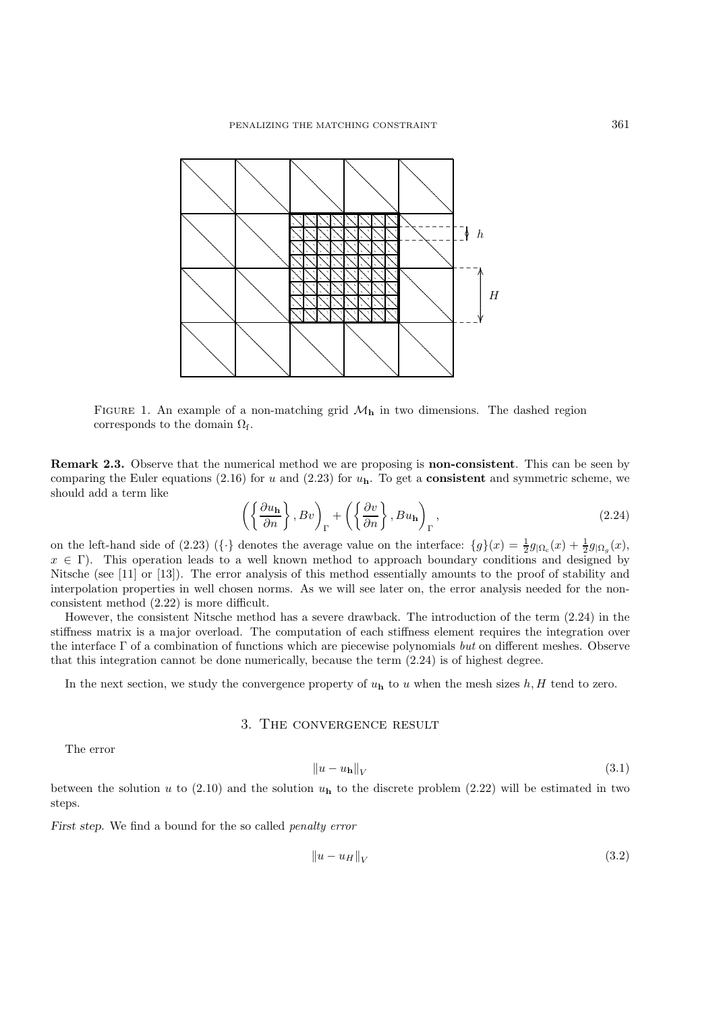

FIGURE 1. An example of a non-matching grid  $\mathcal{M}_{h}$  in two dimensions. The dashed region corresponds to the domain  $\Omega_{\rm f}$ .

**Remark 2.3.** Observe that the numerical method we are proposing is **non-consistent**. This can be seen by comparing the Euler equations (2.16) for u and (2.23) for  $u<sub>h</sub>$ . To get a **consistent** and symmetric scheme, we should add a term like

$$
\left( \left\{ \frac{\partial u_{\mathbf{h}}}{\partial n} \right\}, Bv \right)_{\Gamma} + \left( \left\{ \frac{\partial v}{\partial n} \right\}, Bu_{\mathbf{h}} \right)_{\Gamma}, \tag{2.24}
$$

on the left-hand side of (2.23) ( $\{\cdot\}$  denotes the average value on the interface:  $\{g\}(x) = \frac{1}{2}g_{\vert\Omega_c}(x) + \frac{1}{2}g_{\vert\Omega_a}(x)$ ,  $x \in \Gamma$ ). This operation leads to a well known method to approach boundary conditions and designed by Nitsche (see [11] or [13]). The error analysis of this method essentially amounts to the proof of stability and interpolation properties in well chosen norms. As we will see later on, the error analysis needed for the nonconsistent method  $(2.22)$  is more difficult.

However, the consistent Nitsche method has a severe drawback. The introduction of the term  $(2.24)$  in the stiffness matrix is a major overload. The computation of each stiffness element requires the integration over the interface  $\Gamma$  of a combination of functions which are piecewise polynomials but on different meshes. Observe that this integration cannot be done numerically, because the term  $(2.24)$  is of highest degree.

In the next section, we study the convergence property of  $u<sub>h</sub>$  to u when the mesh sizes  $h, H$  tend to zero.

## 3. THE CONVERGENCE RESULT

The error

$$
||u - u_h||_V \tag{3.1}
$$

between the solution u to (2.10) and the solution  $u<sub>h</sub>$  to the discrete problem (2.22) will be estimated in two steps.

First step. We find a bound for the so called *penalty error* 

$$
\|u - u_H\|_V \tag{3.2}
$$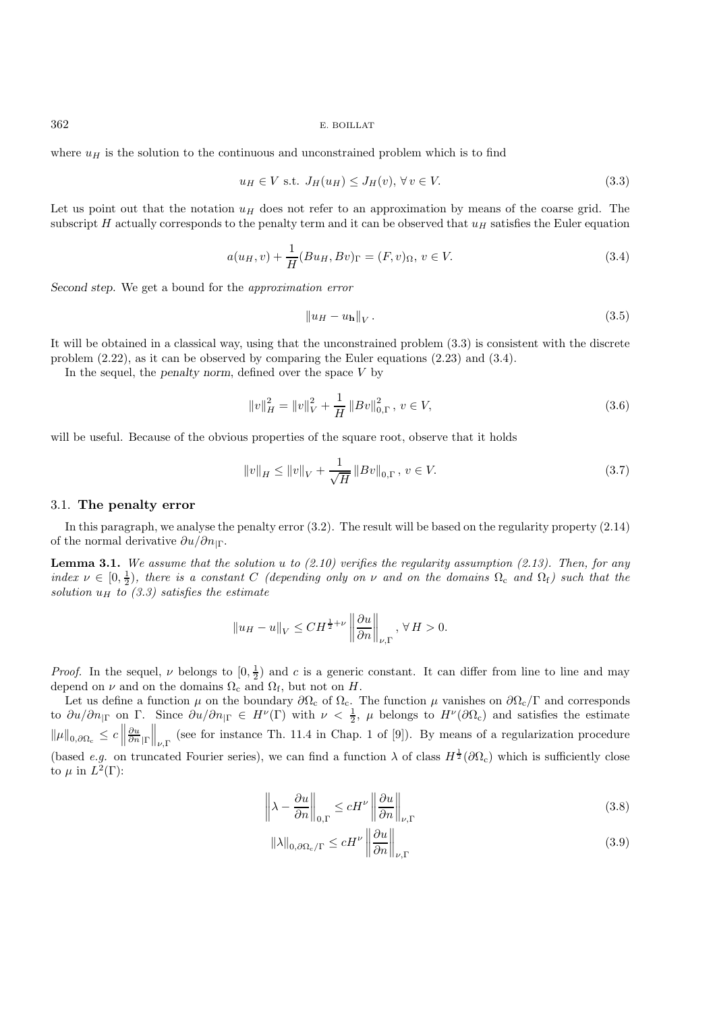where  $u_H$  is the solution to the continuous and unconstrained problem which is to find

$$
u_H \in V \text{ s.t. } J_H(u_H) \le J_H(v), \forall v \in V. \tag{3.3}
$$

Let us point out that the notation  $u_H$  does not refer to an approximation by means of the coarse grid. The subscript H actually corresponds to the penalty term and it can be observed that  $u_H$  satisfies the Euler equation

$$
a(u_H, v) + \frac{1}{H}(Bu_H, Bv)_{\Gamma} = (F, v)_{\Omega}, v \in V.
$$
\n(3.4)

*Second step.* We get a bound for the *approximation error*

$$
\left\|u_H - u_\mathbf{h}\right\|_V. \tag{3.5}
$$

It will be obtained in a classical way, using that the unconstrained problem (3.3) is consistent with the discrete problem (2.22), as it can be observed by comparing the Euler equations (2.23) and (3.4).

In the sequel, the *penalty norm*, defined over the space V by

$$
||v||_H^2 = ||v||_V^2 + \frac{1}{H} ||Bv||_{0,\Gamma}^2, \ v \in V,\tag{3.6}
$$

will be useful. Because of the obvious properties of the square root, observe that it holds

$$
||v||_{H} \le ||v||_{V} + \frac{1}{\sqrt{H}} ||Bv||_{0,\Gamma}, v \in V.
$$
\n(3.7)

#### 3.1. **The penalty error**

In this paragraph, we analyse the penalty error (3.2). The result will be based on the regularity property (2.14) of the normal derivative  $\partial u/\partial n_{|\Gamma}$ .

**Lemma 3.1.** *We assume that the solution* u *to (2.10) verifies the regularity assumption (2.13). Then, for any index*  $\nu \in [0, \frac{1}{2})$ , there is a constant C *(depending only on*  $\nu$  *and on the domains*  $\Omega_c$  *and*  $\Omega_f$ *) such that the solution*  $u_H$  *to (3.3) satisfies the estimate* 

$$
||u_H - u||_V \leq CH^{\frac{1}{2} + \nu} \left\| \frac{\partial u}{\partial n} \right\|_{\nu, \Gamma}, \forall H > 0.
$$

*Proof.* In the sequel,  $\nu$  belongs to  $(0, \frac{1}{2})$  and c is a generic constant. It can differ from line to line and may depend on  $\nu$  and on the domains  $\Omega_c$  and  $\Omega_f$ , but not on  $H$ .

Let us define a function  $\mu$  on the boundary  $\partial\Omega_c$  of  $\Omega_c$ . The function  $\mu$  vanishes on  $\partial\Omega_c/\Gamma$  and corresponds to  $\partial u/\partial n_{|\Gamma}$  on  $\Gamma$ . Since  $\partial u/\partial n_{|\Gamma} \in H^{\nu}(\Gamma)$  with  $\nu < \frac{1}{2}$ ,  $\mu$  belongs to  $H^{\nu}(\partial \Omega_c)$  and satisfies the estimate  $\|\mu\|_{0,\partial\Omega_c} \leq c$  $\frac{\partial u}{\partial n}$ |Γ  $\left\| \_\nu{\Gamma} \right\|$  (see for instance Th. 11.4 in Chap. 1 of [9]). By means of a regularization procedure (based *e.g.* on truncated Fourier series), we can find a function  $\lambda$  of class  $H^{\frac{1}{2}}(\partial\Omega_c)$  which is sufficiently close to  $\mu$  in  $L^2(\Gamma)$ :

$$
\left\|\lambda - \frac{\partial u}{\partial n}\right\|_{0,\Gamma} \le c H^{\nu} \left\|\frac{\partial u}{\partial n}\right\|_{\nu,\Gamma} \tag{3.8}
$$

$$
\|\lambda\|_{0,\partial\Omega_c/\Gamma} \le cH^{\nu} \left\|\frac{\partial u}{\partial n}\right\|_{\nu,\Gamma} \tag{3.9}
$$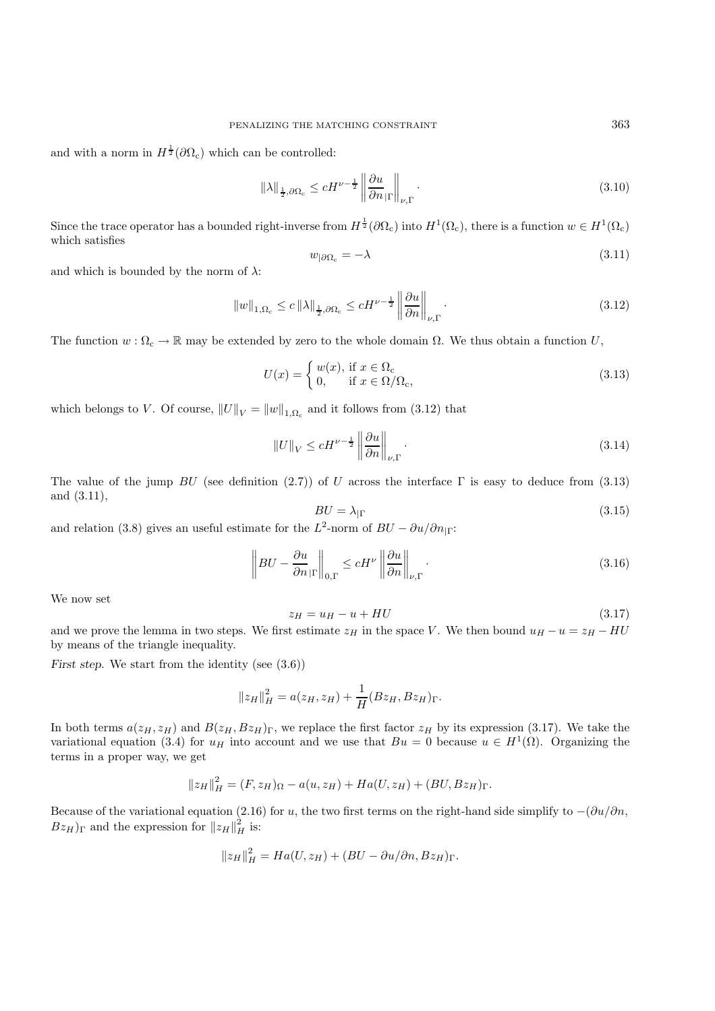and with a norm in  $H^{\frac{1}{2}}(\partial \Omega_c)$  which can be controlled:

$$
\|\lambda\|_{\frac{1}{2},\partial\Omega_c} \le cH^{\nu-\frac{1}{2}} \left\|\frac{\partial u}{\partial n}_{|\Gamma}\right\|_{\nu,\Gamma}.
$$
\n(3.10)

Since the trace operator has a bounded right-inverse from  $H^{\frac{1}{2}}(\partial\Omega_c)$  into  $H^1(\Omega_c)$ , there is a function  $w \in H^1(\Omega_c)$ which satisfies

$$
w_{|\partial\Omega_c} = -\lambda \tag{3.11}
$$

and which is bounded by the norm of  $\lambda$ :

$$
||w||_{1,\Omega_c} \le c ||\lambda||_{\frac{1}{2},\partial\Omega_c} \le cH^{\nu-\frac{1}{2}} ||\frac{\partial u}{\partial n}||_{\nu,\Gamma}.
$$
\n(3.12)

The function  $w : \Omega_c \to \mathbb{R}$  may be extended by zero to the whole domain  $\Omega$ . We thus obtain a function U,

$$
U(x) = \begin{cases} w(x), & \text{if } x \in \Omega_c \\ 0, & \text{if } x \in \Omega/\Omega_c, \end{cases}
$$
\n(3.13)

which belongs to V. Of course,  $||U||_V = ||w||_{1,\Omega_c}$  and it follows from (3.12) that

$$
||U||_{V} \le cH^{\nu - \frac{1}{2}} \left\| \frac{\partial u}{\partial n} \right\|_{\nu, \Gamma}.
$$
\n(3.14)

The value of the jump  $BU$  (see definition (2.7)) of U across the interface  $\Gamma$  is easy to deduce from (3.13) and (3.11),

$$
BU = \lambda_{|\Gamma} \tag{3.15}
$$

and relation (3.8) gives an useful estimate for the  $L^2$ -norm of  $BU - \partial u / \partial n_{\vert \Gamma}$ :

$$
\left\| BU - \frac{\partial u}{\partial n}_{|\Gamma} \right\|_{0,\Gamma} \le c H^{\nu} \left\| \frac{\partial u}{\partial n} \right\|_{\nu,\Gamma} . \tag{3.16}
$$

We now set

$$
z_H = u_H - u + HU \tag{3.17}
$$

and we prove the lemma in two steps. We first estimate  $z_H$  in the space V. We then bound  $u_H - u = z_H - HU$ by means of the triangle inequality.

*First step.* We start from the identity (see  $(3.6)$ )

$$
||z_H||_H^2 = a(z_H, z_H) + \frac{1}{H}(Bz_H, Bz_H)_{\Gamma}.
$$

In both terms  $a(z_H, z_H)$  and  $B(z_H, Bz_H)$ <sub>Γ</sub>, we replace the first factor  $z_H$  by its expression (3.17). We take the variational equation (3.4) for  $u_H$  into account and we use that  $Bu = 0$  because  $u \in H^1(\Omega)$ . Organizing the terms in a proper way, we get

$$
||z_H||_H^2 = (F, z_H)_{\Omega} - a(u, z_H) + Ha(U, z_H) + (BU, Bz_H)_{\Gamma}.
$$

Because of the variational equation (2.16) for u, the two first terms on the right-hand side simplify to  $-(\partial u/\partial n,$  $Bz_H$ )<sub>Γ</sub> and the expression for  $||z_H||_H^2$  is:

$$
||z_H||_H^2 = Ha(U, z_H) + (BU - \partial u/\partial n, Bz_H)_{\Gamma}.
$$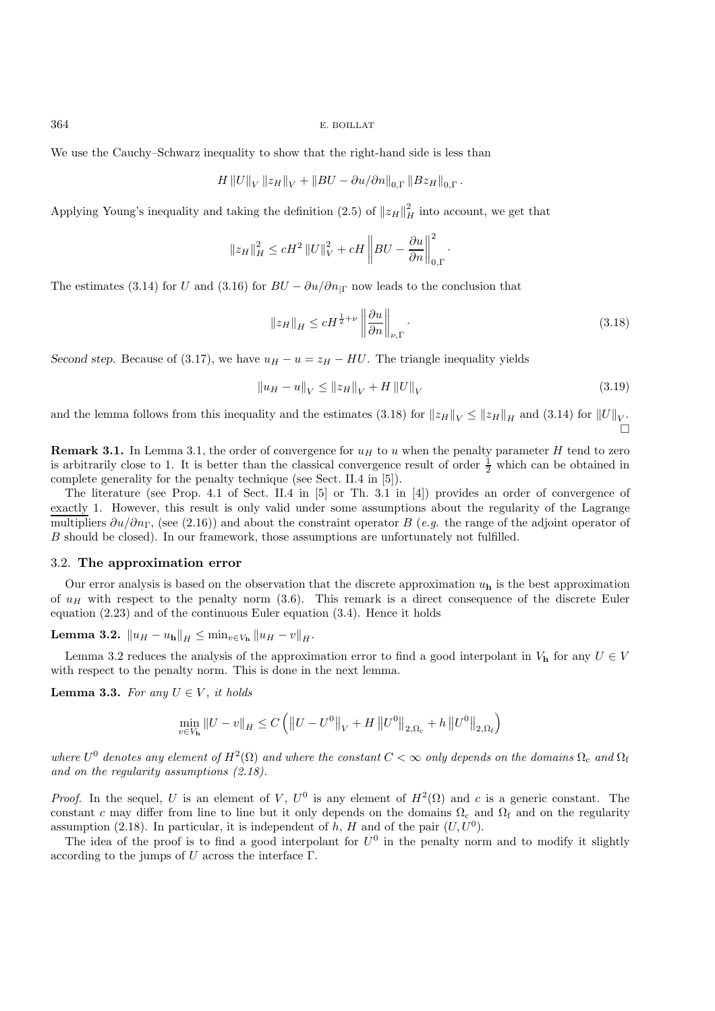We use the Cauchy–Schwarz inequality to show that the right-hand side is less than

$$
H\left\|U\right\|_{V}\left\|z_{H}\right\|_{V}+\left\|BU-\partial u/\partial n\right\|_{0,\Gamma}\left\|B z_{H}\right\|_{0,\Gamma}.
$$

Applying Young's inequality and taking the definition (2.5) of  $||z_H||_H^2$  into account, we get that

$$
||z_H||_H^2 \le cH^2 ||U||_V^2 + cH \left||BU - \frac{\partial u}{\partial n}\right||_{0,\Gamma}^2
$$

The estimates (3.14) for U and (3.16) for  $BU - \partial u / \partial n_{\text{IT}}$  now leads to the conclusion that

$$
\|z_H\|_H \le cH^{\frac{1}{2}+\nu} \left\|\frac{\partial u}{\partial n}\right\|_{\nu,\Gamma}.
$$
\n(3.18)

·

*Second step.* Because of (3.17), we have  $u_H - u = z_H - HU$ . The triangle inequality yields

$$
||u_H - u||_V \le ||z_H||_V + H ||U||_V
$$
\n(3.19)

and the lemma follows from this inequality and the estimates (3.18) for  $||z_H||_V \le ||z_H||_H$  and (3.14) for  $||U||_V$ .  $\Box$ 

**Remark 3.1.** In Lemma 3.1, the order of convergence for  $u_H$  to u when the penalty parameter H tend to zero is arbitrarily close to 1. It is better than the classical convergence result of order  $\frac{1}{2}$  which can be obtained in complete generality for the penalty technique (see Sect. II.4 in [5]).

The literature (see Prop. 4.1 of Sect. II.4 in [5] or Th. 3.1 in [4]) provides an order of convergence of exactly 1. However, this result is only valid under some assumptions about the regularity of the Lagrange multipliers  $\partial u/\partial n_{\Gamma}$ , (see (2.16)) and about the constraint operator B (*e.g.* the range of the adjoint operator of B should be closed). In our framework, those assumptions are unfortunately not fulfilled.

## 3.2. **The approximation error**

Our error analysis is based on the observation that the discrete approximation  $u<sub>h</sub>$  is the best approximation of  $u_H$  with respect to the penalty norm (3.6). This remark is a direct consequence of the discrete Euler equation (2.23) and of the continuous Euler equation (3.4). Hence it holds

**Lemma 3.2.**  $||u_H - u_h||_H$  ≤  $\min_{v \in V_h} ||u_H - v||_H$ .

Lemma 3.2 reduces the analysis of the approximation error to find a good interpolant in  $V<sub>h</sub>$  for any  $U \in V$ with respect to the penalty norm. This is done in the next lemma.

**Lemma 3.3.** *For any*  $U \in V$ *, it holds* 

$$
\min_{v \in V_{\mathbf{h}}} \|U - v\|_{H} \leq C \left( \|U - U^{0}\|_{V} + H \|U^{0}\|_{2, \Omega_{c}} + h \|U^{0}\|_{2, \Omega_{f}} \right)
$$

*where*  $U^0$  *denotes any element of*  $H^2(\Omega)$  *and where the constant*  $C < \infty$  *only depends on the domains*  $\Omega_c$  *and*  $\Omega_f$ *and on the regularity assumptions (2.18).*

*Proof.* In the sequel, U is an element of V,  $U^0$  is any element of  $H^2(\Omega)$  and c is a generic constant. The constant c may differ from line to line but it only depends on the domains  $\Omega_c$  and  $\Omega_f$  and on the regularity assumption (2.18). In particular, it is independent of h, H and of the pair  $(U, U^0)$ .

The idea of the proof is to find a good interpolant for  $U^0$  in the penalty norm and to modify it slightly according to the jumps of  $U$  across the interface  $\Gamma$ .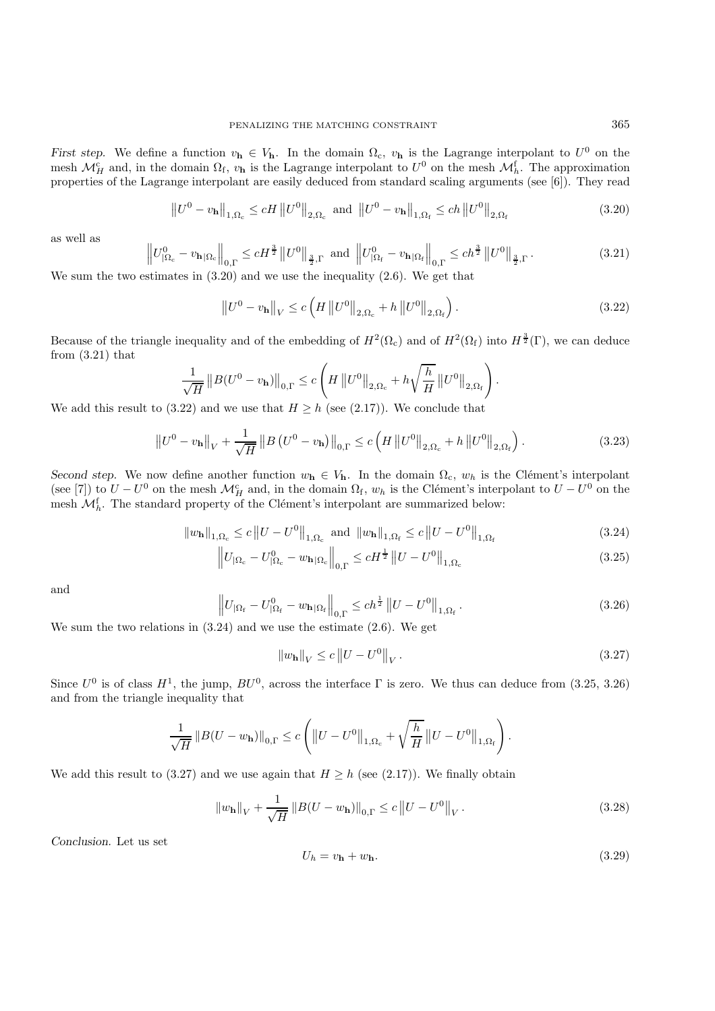*First step.* We define a function  $v_h \in V_h$ . In the domain  $\Omega_c$ ,  $v_h$  is the Lagrange interpolant to  $U^0$  on the mesh  $\mathcal{M}_{H}^{\mathsf{c}}$  and, in the domain  $\Omega_{\mathsf{f}}$ ,  $v_{\mathbf{h}}$  is the Lagrange interpolant to  $U^0$  on the mesh  $\mathcal{M}_{h}^{\mathsf{f}}$ . The approximation properties of the Lagrange interpolant are easily deduced from standard scaling arguments (see [6]). They read

$$
\|U^{0} - v_{\mathbf{h}}\|_{1,\Omega_{c}} \le cH \|U^{0}\|_{2,\Omega_{c}} \text{ and } \|U^{0} - v_{\mathbf{h}}\|_{1,\Omega_{f}} \le ch \|U^{0}\|_{2,\Omega_{f}}
$$
(3.20)

as well as

$$
\left\| U_{\Omega_c}^0 - v_{\mathbf{h}|\Omega_c} \right\|_{0,\Gamma} \le c H^{\frac{3}{2}} \left\| U^0 \right\|_{\frac{3}{2},\Gamma} \text{ and } \left\| U_{\Omega_f}^0 - v_{\mathbf{h}|\Omega_f} \right\|_{0,\Gamma} \le c h^{\frac{3}{2}} \left\| U^0 \right\|_{\frac{3}{2},\Gamma}. \tag{3.21}
$$

We sum the two estimates in (3.20) and we use the inequality (2.6). We get that

$$
\left\|U^{0} - v_{\mathbf{h}}\right\|_{V} \le c\left(H\left\|U^{0}\right\|_{2,\Omega_{c}} + h\left\|U^{0}\right\|_{2,\Omega_{f}}\right). \tag{3.22}
$$

Because of the triangle inequality and of the embedding of  $H^2(\Omega_c)$  and of  $H^2(\Omega_f)$  into  $H^{\frac{3}{2}}(\Gamma)$ , we can deduce from  $(3.21)$  that

$$
\frac{1}{\sqrt{H}}\left\|B(U^0 - v_{\mathbf{h}})\right\|_{0,\Gamma} \le c \left(H\left\|U^0\right\|_{2,\Omega_c} + h\sqrt{\frac{h}{H}}\left\|U^0\right\|_{2,\Omega_f}\right).
$$

We add this result to (3.22) and we use that  $H \geq h$  (see (2.17)). We conclude that

$$
\left\| U^{0} - v_{\mathbf{h}} \right\|_{V} + \frac{1}{\sqrt{H}} \left\| B \left( U^{0} - v_{\mathbf{h}} \right) \right\|_{0,\Gamma} \le c \left( H \left\| U^{0} \right\|_{2,\Omega_{c}} + h \left\| U^{0} \right\|_{2,\Omega_{f}} \right). \tag{3.23}
$$

*Second step.* We now define another function  $w_h \in V_h$ . In the domain  $\Omega_c$ ,  $w_h$  is the Clément's interpolant (see [7]) to  $U - U^0$  on the mesh  $\mathcal{M}_H^c$  and, in the domain  $\Omega_f$ ,  $w_h$  is the Clément's interpolant to  $U - U^0$  on the mesh  $\mathcal{M}_{h}^{\text{f}}$ . The standard property of the Clément's interpolant are summarized below:

$$
||w_{\mathbf{h}}||_{1,\Omega_{\rm c}} \le c ||U - U^{0}||_{1,\Omega_{\rm c}} \text{ and } ||w_{\mathbf{h}}||_{1,\Omega_{\rm f}} \le c ||U - U^{0}||_{1,\Omega_{\rm f}}
$$
\n(3.24)

$$
\left\| U_{\Omega_c} - U_{\Omega_c}^0 - w_{\mathbf{h}|\Omega_c} \right\|_{0,\Gamma} \le c H^{\frac{1}{2}} \left\| U - U^0 \right\|_{1,\Omega_c} \tag{3.25}
$$

and

$$
\left\|U_{|\Omega_{\rm f}} - U_{|\Omega_{\rm f}}^0 - w_{\mathbf{h}|\Omega_{\rm f}}\right\|_{0,\Gamma} \le ch^{\frac{1}{2}} \left\|U - U^0\right\|_{1,\Omega_{\rm f}}.\tag{3.26}
$$

We sum the two relations in (3.24) and we use the estimate (2.6). We get

$$
||w_{\mathbf{h}}||_{V} \le c ||U - U^{0}||_{V}.
$$
\n(3.27)

Since  $U^0$  is of class  $H^1$ , the jump,  $BU^0$ , across the interface  $\Gamma$  is zero. We thus can deduce from (3.25, 3.26) and from the triangle inequality that

$$
\frac{1}{\sqrt{H}}\left\|B(U - w_{\mathbf{h}})\right\|_{0,\Gamma} \le c \left( \left\|U - U^{0}\right\|_{1,\Omega_{c}} + \sqrt{\frac{h}{H}}\left\|U - U^{0}\right\|_{1,\Omega_{f}} \right).
$$

We add this result to (3.27) and we use again that  $H \ge h$  (see (2.17)). We finally obtain

$$
||w_{\mathbf{h}}||_{V} + \frac{1}{\sqrt{H}} ||B(U - w_{\mathbf{h}})||_{0,\Gamma} \le c ||U - U^{0}||_{V}. \qquad (3.28)
$$

*Conclusion.* Let us set

$$
U_h = v_{\mathbf{h}} + w_{\mathbf{h}}.\tag{3.29}
$$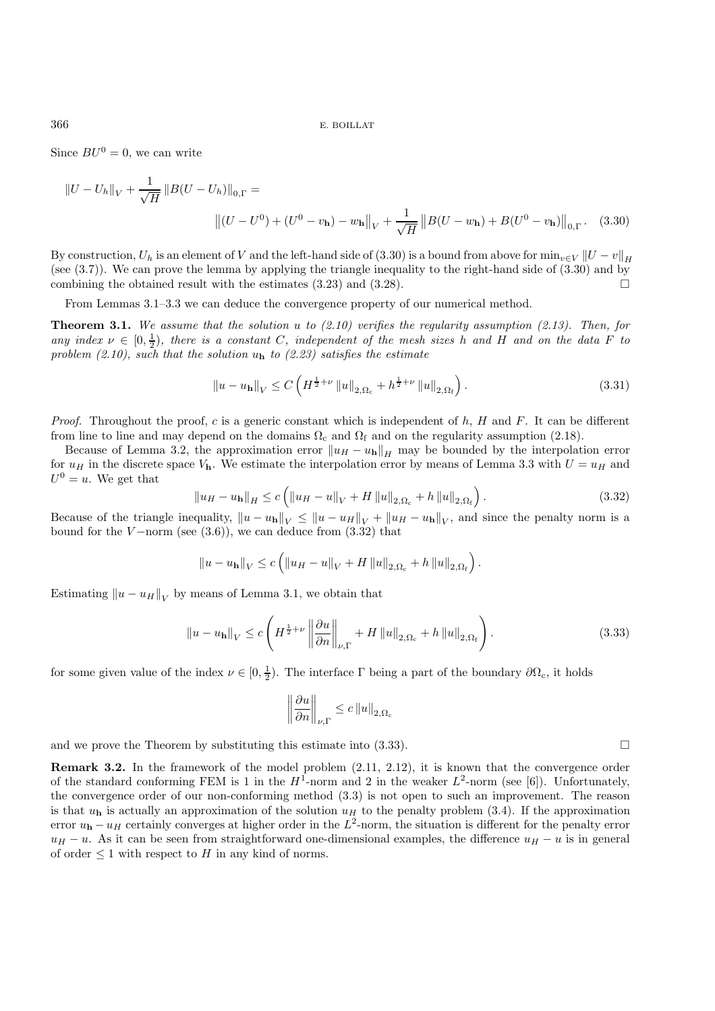Since  $BU^0 = 0$ , we can write

$$
||U - U_h||_V + \frac{1}{\sqrt{H}} ||B(U - U_h)||_{0,\Gamma} =
$$
  

$$
||(U - U^0) + (U^0 - v_h) - w_h||_V + \frac{1}{\sqrt{H}} ||B(U - w_h) + B(U^0 - v_h)||_{0,\Gamma}.
$$
 (3.30)

By construction,  $U_h$  is an element of V and the left-hand side of (3.30) is a bound from above for  $\min_{v \in V} ||U - v||_H$ (see (3.7)). We can prove the lemma by applying the triangle inequality to the right-hand side of (3.30) and by combining the obtained result with the estimates  $(3.23)$  and  $(3.28)$ .

From Lemmas 3.1–3.3 we can deduce the convergence property of our numerical method.

**Theorem 3.1.** *We assume that the solution* u *to (2.10) verifies the regularity assumption (2.13). Then, for any index*  $\nu \in [0, \frac{1}{2})$ , there is a constant C, independent of the mesh sizes h and H and on the data F to *problem (2.10), such that the solution* u**<sup>h</sup>** *to (2.23) satisfies the estimate*

$$
||u - u_{\mathbf{h}}||_{V} \leq C \left( H^{\frac{1}{2} + \nu} ||u||_{2, \Omega_{\rm c}} + h^{\frac{1}{2} + \nu} ||u||_{2, \Omega_{\rm f}} \right). \tag{3.31}
$$

*Proof.* Throughout the proof, c is a generic constant which is independent of h, H and F. It can be different from line to line and may depend on the domains  $\Omega_c$  and  $\Omega_f$  and on the regularity assumption (2.18).

Because of Lemma 3.2, the approximation error  $||u_H - u_h||_H$  may be bounded by the interpolation error for  $u_H$  in the discrete space  $V<sub>h</sub>$ . We estimate the interpolation error by means of Lemma 3.3 with  $U = u_H$  and  $U^0 = u$ . We get that

$$
||u_{H} - u_{h}||_{H} \le c \left( ||u_{H} - u||_{V} + H ||u||_{2,\Omega_{c}} + h ||u||_{2,\Omega_{f}} \right).
$$
\n(3.32)

Because of the triangle inequality,  $||u - u_h||_V \le ||u - u_H||_V + ||u_H - u_h||_V$ , and since the penalty norm is a bound for the V-norm (see  $(3.6)$ ), we can deduce from  $(3.32)$  that

$$
||u - u_{\mathbf{h}}||_{V} \leq c \left( ||u_{H} - u||_{V} + H ||u||_{2,\Omega_{c}} + h ||u||_{2,\Omega_{f}} \right).
$$

Estimating  $||u - u_H||_V$  by means of Lemma 3.1, we obtain that

$$
\|u - u_{\mathbf{h}}\|_{V} \leq c \left( H^{\frac{1}{2} + \nu} \left\| \frac{\partial u}{\partial n} \right\|_{\nu, \Gamma} + H \left\| u \right\|_{2, \Omega_{\rm c}} + h \left\| u \right\|_{2, \Omega_{\rm f}} \right). \tag{3.33}
$$

for some given value of the index  $\nu \in [0, \frac{1}{2})$ . The interface  $\Gamma$  being a part of the boundary  $\partial \Omega_c$ , it holds

$$
\left\|\frac{\partial u}{\partial n}\right\|_{\nu,\Gamma} \le c \left\|u\right\|_{2,\Omega_c}
$$

and we prove the Theorem by substituting this estimate into  $(3.33)$ .

**Remark 3.2.** In the framework of the model problem (2.11, 2.12), it is known that the convergence order of the standard conforming FEM is 1 in the  $H^1$ -norm and 2 in the weaker  $L^2$ -norm (see [6]). Unfortunately, the convergence order of our non-conforming method (3.3) is not open to such an improvement. The reason is that  $u_{\bf h}$  is actually an approximation of the solution  $u_H$  to the penalty problem (3.4). If the approximation error  $u_h - u_H$  certainly converges at higher order in the  $L^2$ -norm, the situation is different for the penalty error  $u_H - u$ . As it can be seen from straightforward one-dimensional examples, the difference  $u_H - u$  is in general of order  $\leq 1$  with respect to H in any kind of norms.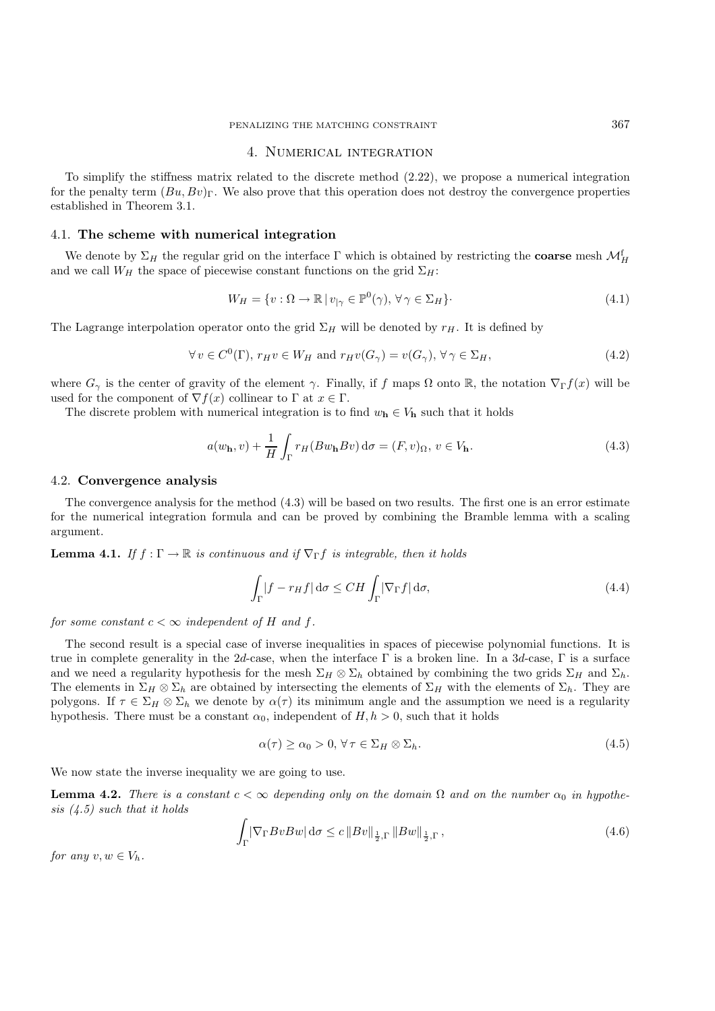## 4. Numerical integration

To simplify the stiffness matrix related to the discrete method (2.22), we propose a numerical integration for the penalty term  $(Bu, Bv)$ <sub>Γ</sub>. We also prove that this operation does not destroy the convergence properties established in Theorem 3.1.

#### 4.1. **The scheme with numerical integration**

We denote by  $\Sigma_H$  the regular grid on the interface  $\Gamma$  which is obtained by restricting the **coarse** mesh  $\mathcal{M}_H^{\text{f}}$ and we call  $W_H$  the space of piecewise constant functions on the grid  $\Sigma_H$ :

$$
W_H = \{ v : \Omega \to \mathbb{R} \mid v_{|\gamma} \in \mathbb{P}^0(\gamma), \forall \gamma \in \Sigma_H \}.
$$
\n
$$
(4.1)
$$

The Lagrange interpolation operator onto the grid  $\Sigma_H$  will be denoted by  $r_H$ . It is defined by

$$
\forall v \in C^{0}(\Gamma), r_{H}v \in W_{H} \text{ and } r_{H}v(G_{\gamma}) = v(G_{\gamma}), \forall \gamma \in \Sigma_{H},
$$
\n
$$
(4.2)
$$

where  $G_\gamma$  is the center of gravity of the element  $\gamma$ . Finally, if f maps  $\Omega$  onto R, the notation  $\nabla_{\Gamma} f(x)$  will be used for the component of  $\nabla f(x)$  collinear to  $\Gamma$  at  $x \in \Gamma$ .

The discrete problem with numerical integration is to find  $w_h \in V_h$  such that it holds

$$
a(w_{\mathbf{h}}, v) + \frac{1}{H} \int_{\Gamma} r_H(Bw_{\mathbf{h}} Bv) d\sigma = (F, v)_{\Omega}, v \in V_{\mathbf{h}}.
$$
\n(4.3)

#### 4.2. **Convergence analysis**

The convergence analysis for the method (4.3) will be based on two results. The first one is an error estimate for the numerical integration formula and can be proved by combining the Bramble lemma with a scaling argument.

**Lemma 4.1.** *If*  $f : \Gamma \to \mathbb{R}$  *is continuous and if*  $\nabla_{\Gamma} f$  *is integrable, then it holds* 

$$
\int_{\Gamma} |f - r_H f| \, \mathrm{d}\sigma \leq CH \int_{\Gamma} |\nabla_{\Gamma} f| \, \mathrm{d}\sigma,\tag{4.4}
$$

*for some constant*  $c < \infty$  *independent of* H *and* f.

The second result is a special case of inverse inequalities in spaces of piecewise polynomial functions. It is true in complete generality in the 2d-case, when the interface Γ is a broken line. In a 3d-case, Γ is a surface and we need a regularity hypothesis for the mesh  $\Sigma_H \otimes \Sigma_h$  obtained by combining the two grids  $\Sigma_H$  and  $\Sigma_h$ . The elements in  $\Sigma_H \otimes \Sigma_h$  are obtained by intersecting the elements of  $\Sigma_H$  with the elements of  $\Sigma_h$ . They are polygons. If  $\tau \in \Sigma_H \otimes \Sigma_h$  we denote by  $\alpha(\tau)$  its minimum angle and the assumption we need is a regularity hypothesis. There must be a constant  $\alpha_0$ , independent of  $H, h > 0$ , such that it holds

$$
\alpha(\tau) \ge \alpha_0 > 0, \forall \tau \in \Sigma_H \otimes \Sigma_h. \tag{4.5}
$$

We now state the inverse inequality we are going to use.

**Lemma 4.2.** *There is a constant*  $c < \infty$  *depending only on the domain*  $\Omega$  *and on the number*  $\alpha_0$  *in hypothesis (4.5) such that it holds*

$$
\int_{\Gamma} |\nabla_{\Gamma} B v B w| \, \mathrm{d}\sigma \le c \, \|Bv\|_{\frac{1}{2}, \Gamma} \, \|Bw\|_{\frac{1}{2}, \Gamma} \,, \tag{4.6}
$$

*for any*  $v, w \in V_h$ .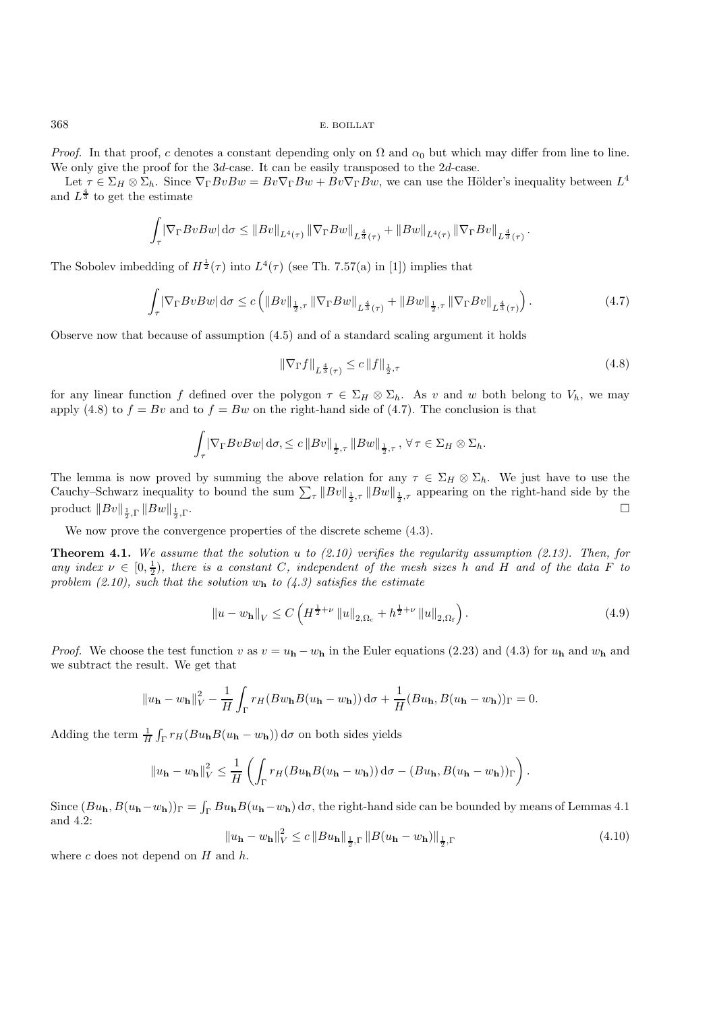*Proof.* In that proof, c denotes a constant depending only on  $\Omega$  and  $\alpha_0$  but which may differ from line to line. We only give the proof for the 3d-case. It can be easily transposed to the 2d-case.

Let  $\tau \in \Sigma_H \otimes \Sigma_h$ . Since  $\nabla_{\Gamma} BvBw = Bv\nabla_{\Gamma} Bw + Bv\nabla_{\Gamma} Bw$ , we can use the Hölder's inequality between  $L^4$ and  $L^{\frac{4}{3}}$  to get the estimate

$$
\int_{\tau} \left| \nabla_{\Gamma} B v B w \right| d\sigma \leq \left\| B v \right\|_{L^{4}(\tau)} \left\| \nabla_{\Gamma} B w \right\|_{L^{\frac{4}{3}}(\tau)} + \left\| B w \right\|_{L^{4}(\tau)} \left\| \nabla_{\Gamma} B v \right\|_{L^{\frac{4}{3}}(\tau)}.
$$

The Sobolev imbedding of  $H^{\frac{1}{2}}(\tau)$  into  $L^4(\tau)$  (see Th. 7.57(a) in [1]) implies that

$$
\int_{\tau} |\nabla_{\Gamma} B v B w| d\sigma \le c \left( \|Bv\|_{\frac{1}{2}, \tau} \|\nabla_{\Gamma} B w\|_{L^{\frac{4}{3}}(\tau)} + \|Bw\|_{\frac{1}{2}, \tau} \|\nabla_{\Gamma} B v\|_{L^{\frac{4}{3}}(\tau)} \right). \tag{4.7}
$$

Observe now that because of assumption (4.5) and of a standard scaling argument it holds

$$
\|\nabla_{\Gamma} f\|_{L^{\frac{4}{3}}(\tau)} \le c \|f\|_{\frac{1}{2},\tau} \tag{4.8}
$$

for any linear function f defined over the polygon  $\tau \in \Sigma_H \otimes \Sigma_h$ . As v and w both belong to  $V_h$ , we may apply (4.8) to  $f = Bv$  and to  $f = Bw$  on the right-hand side of (4.7). The conclusion is that

$$
\int_{\tau} \left| \nabla_{\Gamma} B v B w \right| d\sigma, \leq c \left\| B v \right\|_{\frac{1}{2}, \tau} \left\| B w \right\|_{\frac{1}{2}, \tau}, \forall \tau \in \Sigma_H \otimes \Sigma_h.
$$

The lemma is now proved by summing the above relation for any  $\tau \in \Sigma_H \otimes \Sigma_h$ . We just have to use the Cauchy–Schwarz inequality to bound the sum  $\sum_{\tau} ||Bv||_{\frac{1}{2},\tau} ||Bw||_{\frac{1}{2},\tau}$  appearing on the right-hand side by the product  $\|Bv\|_{\frac{1}{2},\Gamma} \|Bw\|_{\frac{1}{2}}$  $\frac{1}{2}$ , Γ.

We now prove the convergence properties of the discrete scheme (4.3).

**Theorem 4.1.** *We assume that the solution* u *to (2.10) verifies the regularity assumption (2.13). Then, for any index*  $\nu \in [0, \frac{1}{2})$ , there is a constant C, independent of the mesh sizes h and H and of the data F to *problem (2.10), such that the solution* w**<sup>h</sup>** *to (4.3) satisfies the estimate*

$$
||u - w_{\mathbf{h}}||_{V} \leq C \left( H^{\frac{1}{2} + \nu} ||u||_{2, \Omega_{c}} + h^{\frac{1}{2} + \nu} ||u||_{2, \Omega_{f}} \right).
$$
\n(4.9)

*Proof.* We choose the test function v as  $v = u_h - w_h$  in the Euler equations (2.23) and (4.3) for  $u_h$  and  $w_h$  and we subtract the result. We get that

$$
||u_{\mathbf{h}} - w_{\mathbf{h}}||_V^2 - \frac{1}{H} \int_{\Gamma} r_H(Bw_{\mathbf{h}}B(u_{\mathbf{h}} - w_{\mathbf{h}})) d\sigma + \frac{1}{H}(Bu_{\mathbf{h}}, B(u_{\mathbf{h}} - w_{\mathbf{h}}))_{\Gamma} = 0.
$$

Adding the term  $\frac{1}{H} \int_{\Gamma} r_H (Bu_h B(u_h - w_h)) d\sigma$  on both sides yields

$$
||u_{\mathbf{h}} - w_{\mathbf{h}}||_V^2 \leq \frac{1}{H} \left( \int_{\Gamma} r_H(Bu_{\mathbf{h}}B(u_{\mathbf{h}} - w_{\mathbf{h}})) d\sigma - (Bu_{\mathbf{h}}, B(u_{\mathbf{h}} - w_{\mathbf{h}}))_{\Gamma} \right).
$$

Since  $(Bu_h, B(u_h-w_h))$ Γ =  $\int_{\Gamma} Bu_hB(u_h-w_h) d\sigma$ , the right-hand side can be bounded by means of Lemmas 4.1 and 4.2:

$$
\|u_{\mathbf{h}} - w_{\mathbf{h}}\|_{V}^{2} \le c \|Bu_{\mathbf{h}}\|_{\frac{1}{2},\Gamma} \|B(u_{\mathbf{h}} - w_{\mathbf{h}})\|_{\frac{1}{2},\Gamma}
$$
(4.10)

where  $c$  does not depend on  $H$  and  $h$ .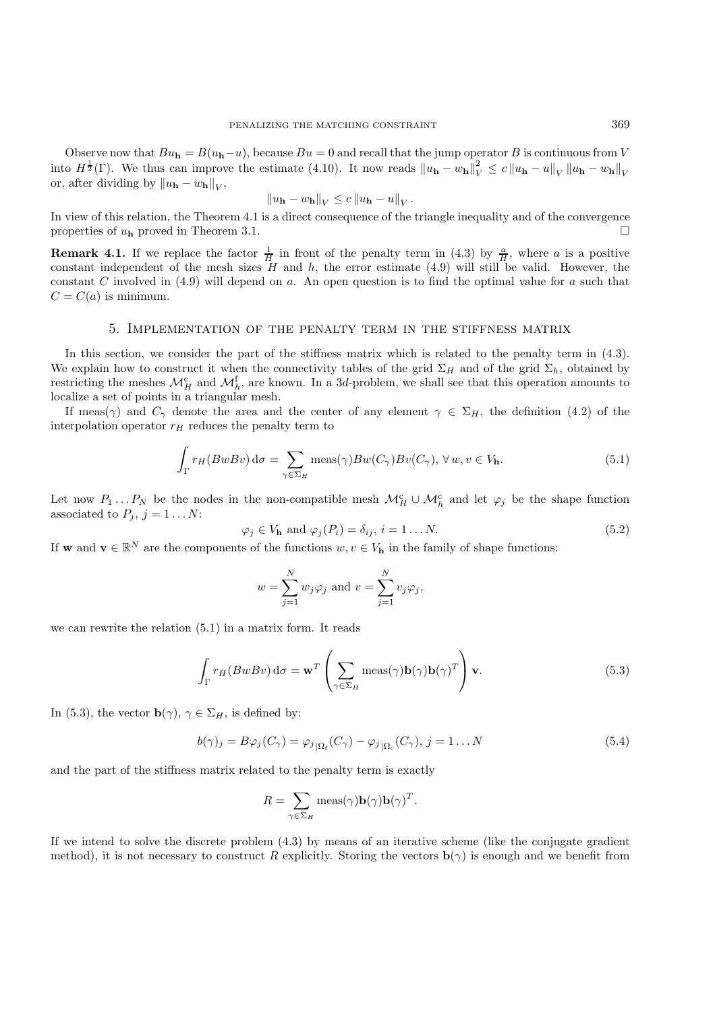Observe now that  $Bu_h = B(u_h-u)$ , because  $Bu = 0$  and recall that the jump operator B is continuous from V into  $H^{\frac{1}{2}}(\Gamma)$ . We thus can improve the estimate (4.10). It now reads  $||u_{\mathbf{h}} - w_{\mathbf{h}}||_V^2 \le c ||u_{\mathbf{h}} - u||_V ||u_{\mathbf{h}} - w_{\mathbf{h}}||_V$ or, after dividing by  $||u_{\mathbf{h}} - w_{\mathbf{h}}||_{V}$ ,

$$
||u_{\mathbf{h}} - w_{\mathbf{h}}||_V \leq c ||u_{\mathbf{h}} - u||_V.
$$

In view of this relation, the Theorem 4.1 is a direct consequence of the triangle inequality and of the convergence properties of  $u<sub>h</sub>$  proved in Theorem 3.1.

**Remark 4.1.** If we replace the factor  $\frac{1}{H}$  in front of the penalty term in (4.3) by  $\frac{a}{H}$ , where a is a positive constant independent of the mesh sizes  $H$  and  $h$ , the error estimate (4.9) will still be valid. However, the constant C involved in  $(4.9)$  will depend on a. An open question is to find the optimal value for a such that  $C = C(a)$  is minimum.

## 5. Implementation of the penalty term in the stiffness matrix

In this section, we consider the part of the stiffness matrix which is related to the penalty term in (4.3). We explain how to construct it when the connectivity tables of the grid  $\Sigma_H$  and of the grid  $\Sigma_h$ , obtained by restricting the meshes  $\mathcal{M}_{H}^{c}$  and  $\mathcal{M}_{h}^{f}$ , are known. In a 3d-problem, we shall see that this operation amounts to localize a set of points in a triangular mesh.

If meas( $\gamma$ ) and  $C_{\gamma}$  denote the area and the center of any element  $\gamma \in \Sigma_H$ , the definition (4.2) of the interpolation operator  $r_H$  reduces the penalty term to

$$
\int_{\Gamma} r_H(BwBv) d\sigma = \sum_{\gamma \in \Sigma_H} \text{meas}(\gamma) Bw(C_{\gamma}) Bv(C_{\gamma}), \forall w, v \in V_{\mathbf{h}}.
$$
\n(5.1)

Let now  $P_1 \dots P_N$  be the nodes in the non-compatible mesh  $\mathcal{M}_H^c \cup \mathcal{M}_h^c$  and let  $\varphi_j$  be the shape function associated to  $P_j$ ,  $j = 1...N$ :

$$
\varphi_j \in V_{\mathbf{h}} \text{ and } \varphi_j(P_i) = \delta_{ij}, \, i = 1 \dots N. \tag{5.2}
$$

If **w** and  $\mathbf{v} \in \mathbb{R}^N$  are the components of the functions  $w, v \in V_{\mathbf{h}}$  in the family of shape functions:

$$
w = \sum_{j=1}^{N} w_j \varphi_j
$$
 and  $v = \sum_{j=1}^{N} v_j \varphi_j$ ,

we can rewrite the relation (5.1) in a matrix form. It reads

$$
\int_{\Gamma} r_H(BwBv) d\sigma = \mathbf{w}^T \left( \sum_{\gamma \in \Sigma_H} \text{meas}(\gamma) \mathbf{b}(\gamma) \mathbf{b}(\gamma)^T \right) \mathbf{v}.
$$
\n(5.3)

In (5.3), the vector  $\mathbf{b}(\gamma)$ ,  $\gamma \in \Sigma_H$ , is defined by:

$$
b(\gamma)_j = B\varphi_j(C_\gamma) = \varphi_j_{|\Omega_f}(C_\gamma) - \varphi_j_{|\Omega_c}(C_\gamma), \ j = 1 \dots N
$$
\n(5.4)

and the part of the stiffness matrix related to the penalty term is exactly

$$
R = \sum_{\gamma \in \Sigma_H} \text{meas}(\gamma) \mathbf{b}(\gamma) \mathbf{b}(\gamma)^T.
$$

If we intend to solve the discrete problem (4.3) by means of an iterative scheme (like the conjugate gradient method), it is not necessary to construct R explicitly. Storing the vectors  $\mathbf{b}(\gamma)$  is enough and we benefit from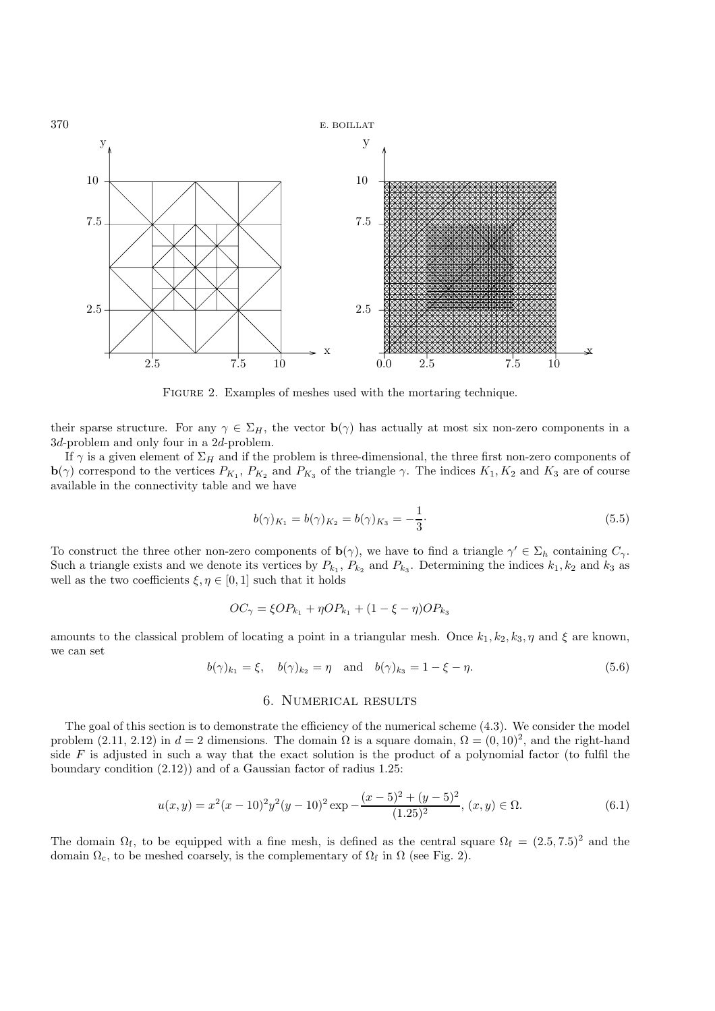

FIGURE 2. Examples of meshes used with the mortaring technique.

their sparse structure. For any  $\gamma \in \Sigma_H$ , the vector **b**( $\gamma$ ) has actually at most six non-zero components in a 3d-problem and only four in a 2d-problem.

If  $\gamma$  is a given element of  $\Sigma_H$  and if the problem is three-dimensional, the three first non-zero components of **b**( $\gamma$ ) correspond to the vertices  $P_{K_1}$ ,  $P_{K_2}$  and  $P_{K_3}$  of the triangle  $\gamma$ . The indices  $K_1, K_2$  and  $K_3$  are of course available in the connectivity table and we have

$$
b(\gamma)_{K_1} = b(\gamma)_{K_2} = b(\gamma)_{K_3} = -\frac{1}{3}.\tag{5.5}
$$

To construct the three other non-zero components of  $\mathbf{b}(\gamma)$ , we have to find a triangle  $\gamma' \in \Sigma_h$  containing  $C_{\gamma}$ . Such a triangle exists and we denote its vertices by  $P_{k_1}$ ,  $P_{k_2}$  and  $P_{k_3}$ . Determining the indices  $k_1, k_2$  and  $k_3$  as well as the two coefficients  $\xi, \eta \in [0, 1]$  such that it holds

$$
OC_{\gamma} = \xi OP_{k_1} + \eta OP_{k_1} + (1 - \xi - \eta) OP_{k_3}
$$

amounts to the classical problem of locating a point in a triangular mesh. Once  $k_1, k_2, k_3, \eta$  and  $\xi$  are known, we can set

$$
b(\gamma)_{k_1} = \xi, \quad b(\gamma)_{k_2} = \eta \quad \text{and} \quad b(\gamma)_{k_3} = 1 - \xi - \eta.
$$
 (5.6)

## 6. Numerical results

The goal of this section is to demonstrate the efficiency of the numerical scheme (4.3). We consider the model problem (2.11, 2.12) in  $d = 2$  dimensions. The domain  $\Omega$  is a square domain,  $\Omega = (0, 10)^2$ , and the right-hand side  $F$  is adjusted in such a way that the exact solution is the product of a polynomial factor (to fulfil the boundary condition (2.12)) and of a Gaussian factor of radius 1.25:

$$
u(x,y) = x^2(x-10)^2y^2(y-10)^2 \exp\left(-\frac{(x-5)^2+(y-5)^2}{(1.25)^2}, (x,y)\in\Omega.\right)
$$
(6.1)

The domain  $\Omega_f$ , to be equipped with a fine mesh, is defined as the central square  $\Omega_f = (2.5, 7.5)^2$  and the domain  $\Omega_c$ , to be meshed coarsely, is the complementary of  $\Omega_f$  in  $\Omega$  (see Fig. 2).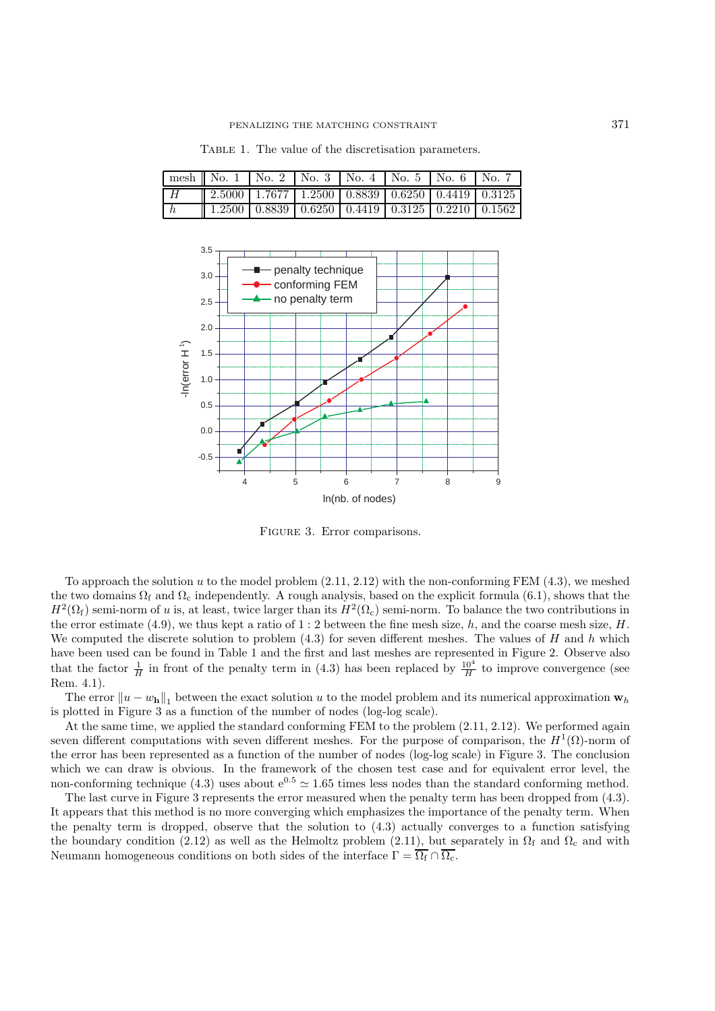|               | mesh    No. $1$   No. $2$   No. $3$   No. $4$   No. $5$   No. $6$   No. $7$ |  |  |  |
|---------------|-----------------------------------------------------------------------------|--|--|--|
| H             | $\parallel$ 2.5000   1.7677   1.2500   0.8839   0.6250   0.4419   0.3125    |  |  |  |
| $\mathsf{L}h$ | $1.2500$ 0.8839 0.6250 0.4419 0.3125 0.2210 0.1562                          |  |  |  |

TABLE 1. The value of the discretisation parameters.



Figure 3. Error comparisons.

To approach the solution u to the model problem (2.11, 2.12) with the non-conforming FEM (4.3), we meshed the two domains  $\Omega_f$  and  $\Omega_c$  independently. A rough analysis, based on the explicit formula (6.1), shows that the  $H^2(\Omega_f)$  semi-norm of u is, at least, twice larger than its  $H^2(\Omega_c)$  semi-norm. To balance the two contributions in the error estimate (4.9), we thus kept a ratio of 1 : 2 between the fine mesh size, h, and the coarse mesh size, H. We computed the discrete solution to problem  $(4.3)$  for seven different meshes. The values of H and h which have been used can be found in Table 1 and the first and last meshes are represented in Figure 2. Observe also that the factor  $\frac{1}{H}$  in front of the penalty term in (4.3) has been replaced by  $\frac{10^4}{H}$  to improve convergence (see Rem. 4.1).

The error  $||u - w_h||_1$  between the exact solution u to the model problem and its numerical approximation  $w_h$ is plotted in Figure 3 as a function of the number of nodes (log-log scale).

At the same time, we applied the standard conforming FEM to the problem (2.11, 2.12). We performed again seven different computations with seven different meshes. For the purpose of comparison, the  $H^1(\Omega)$ -norm of the error has been represented as a function of the number of nodes (log-log scale) in Figure 3. The conclusion which we can draw is obvious. In the framework of the chosen test case and for equivalent error level, the non-conforming technique (4.3) uses about  $e^{0.5} \approx 1.65$  times less nodes than the standard conforming method.

The last curve in Figure 3 represents the error measured when the penalty term has been dropped from (4.3). It appears that this method is no more converging which emphasizes the importance of the penalty term. When the penalty term is dropped, observe that the solution to (4.3) actually converges to a function satisfying the boundary condition (2.12) as well as the Helmoltz problem (2.11), but separately in  $\Omega_f$  and  $\Omega_c$  and with Neumann homogeneous conditions on both sides of the interface  $\Gamma = \overline{\Omega_f} \cap \overline{\Omega_c}$ .